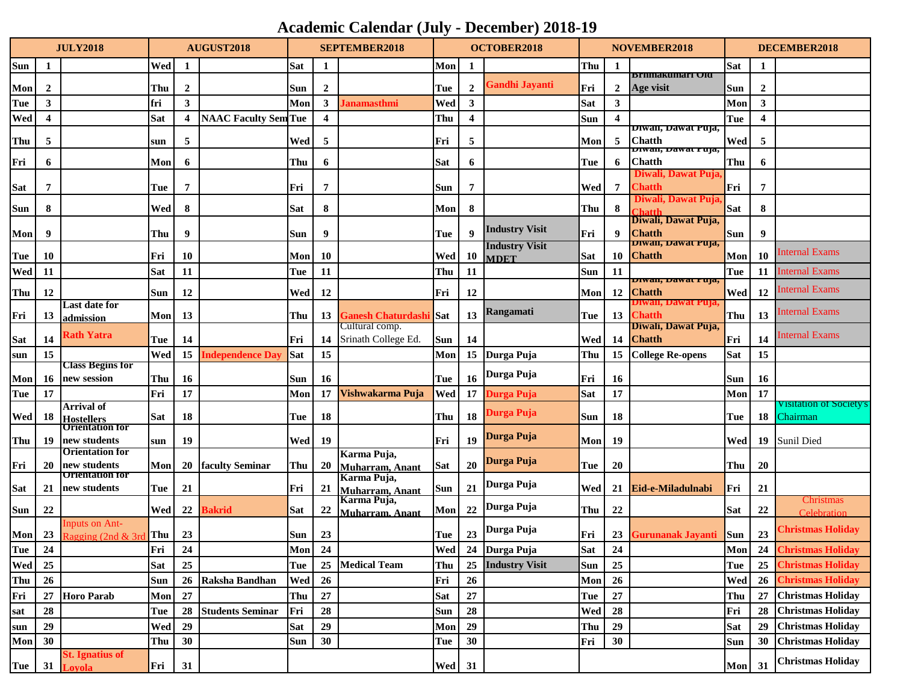## **Academic Calendar (July - December) 2018-19**

| <b>JULY2018</b> |                | AUGUST2018                                  |            | <b>SEPTEMBER2018</b> |                             |            | <b>OCTOBER2018</b>      |                                |               | <b>NOVEMBER2018</b>     |                       |            | DECEMBER2018   |                                     |            |                         |                          |
|-----------------|----------------|---------------------------------------------|------------|----------------------|-----------------------------|------------|-------------------------|--------------------------------|---------------|-------------------------|-----------------------|------------|----------------|-------------------------------------|------------|-------------------------|--------------------------|
| Sun             | 1              |                                             | Wed        | 1                    |                             | Sat        | 1                       |                                | Mon           | 1                       |                       | Thu        | 1              |                                     | <b>Sat</b> | 1                       |                          |
| Mon             | $\overline{2}$ |                                             | Thu        | $\overline{2}$       |                             | Sun        | $\overline{2}$          |                                | Tue           | $\overline{2}$          | <b>Gandhi Jayanti</b> | Fri        | $\overline{2}$ | Brnmakumari Vid<br>Age visit        | Sun        | $\overline{2}$          |                          |
| Tue             | 3              |                                             | fri        | 3                    |                             | Mon        | $\mathbf{3}$            | Janamasthmi                    | Wed           | 3                       |                       | <b>Sat</b> | 3              |                                     | Mon        | $\mathbf{3}$            |                          |
| Wed             | 4              |                                             | Sat        | 4                    | <b>NAAC Faculty Sem Tue</b> |            | $\overline{\mathbf{4}}$ |                                | Thu           | $\overline{\mathbf{4}}$ |                       | Sun        | 4              |                                     | Tue        | $\overline{\mathbf{4}}$ |                          |
|                 |                |                                             |            |                      |                             |            |                         |                                |               |                         |                       |            |                | Diwali, Dawat Puja,                 |            |                         |                          |
| Thu             | 5              |                                             | sun        | 5                    |                             | Wed        | 5                       |                                | Fri           | 5                       |                       | Mon        | -5             | <b>Chatth</b><br>Diwan, Dawat Fuja, | Wed        | 5                       |                          |
| Fri             | 6              |                                             | Mon        | 6                    |                             | Thu        | 6                       |                                | Sat           | 6                       |                       | Tue        | 6              | <b>Chatth</b>                       | Thu        | 6                       |                          |
| Sat             | 7              |                                             | Tue        | 7                    |                             | Fri        | 7                       |                                | Sun           | 7                       |                       | Wed        | 7              | Diwali, Dawat Puja<br><b>Chatth</b> | Fri        | 7                       |                          |
|                 |                |                                             |            |                      |                             |            |                         |                                |               |                         |                       |            |                | Diwali, Dawat Puja,                 |            |                         |                          |
| Sun             | 8              |                                             | Wed        | 8                    |                             | <b>Sat</b> | 8                       |                                | Mon           | 8                       |                       | Thu        | 8              | Chatth<br>Diwali, Dawat Puja,       | <b>Sat</b> | 8                       |                          |
| Mon             | 9              |                                             | Thu        | 9                    |                             | Sun        | 9                       |                                | Tue           | 9                       | <b>Industry Visit</b> | Fri        | 9              | <b>Chatth</b>                       | <b>Sun</b> | 9                       |                          |
|                 |                |                                             |            |                      |                             |            |                         |                                |               |                         | <b>Industry Visit</b> |            |                | Diwan, Dawat Puja,                  |            |                         | <b>Internal Exams</b>    |
| Tue             | 10             |                                             | Fri        | 10                   |                             | Mon        | <b>10</b>               |                                | Wed           | <b>10</b>               | <b>MDET</b>           | <b>Sat</b> | 10             | <b>Chatth</b>                       | Mon        | 10                      |                          |
| Wed             | 11             |                                             | Sat        | 11                   |                             | Tue        | 11                      |                                | Thu           | 11                      |                       | Sun        | 11             | Diwali, Dawat I uja,                | Tue        | 11                      | <b>Internal Exams</b>    |
| Thu             | 12             |                                             | Sun        | 12                   |                             | Wed        | 12                      |                                | Fri           | 12                      |                       | Mon        | 12             | <b>Chatth</b>                       | Wed        | 12                      | Internal Exams           |
| Fri             | 13             | Last date for                               | Mon        | 13                   |                             | Thu        | 13                      | <b>Ganesh Chaturdashi Sat</b>  |               | 13                      | <b>Rangamati</b>      | Tue        | 13             | Jiwali, Dawat Puja<br><b>Chatth</b> | Thu        | 13                      | Internal Exams           |
|                 |                | <u>admission</u>                            |            |                      |                             |            |                         | Cultural comp.                 |               |                         |                       |            |                | Diwali, Dawat Puja,                 |            |                         |                          |
| <b>Sat</b>      | 14             | Rath Yatra                                  | Tue        | 14                   |                             | Fri        | 14                      | Srinath College Ed.            | <b>Sun</b>    | 14                      |                       | Wed        | 14             | <b>Chatth</b>                       | Fri        | 14                      | <b>Internal Exams</b>    |
| sun             | 15             |                                             | Wed        | 15                   | Independence Da             | <b>Sat</b> | 15                      |                                | Mon           | 15                      | Durga Puja            | Thu        | 15             | <b>College Re-opens</b>             | <b>Sat</b> | 15                      |                          |
| Mon             | 16             | Class Begins for<br>new session             | Thu        | 16                   |                             | Sun        | 16                      |                                | Tue           | <b>16</b>               | Durga Puja            | Fri        | 16             |                                     | Sun        | <b>16</b>               |                          |
| Tue             | 17             |                                             | Fri        | 17                   |                             | Mon        | 17                      | Vishwakarma Puja               | Wed           | 17                      | Durga Puja            | Sat        | 17             |                                     | Mon        | 17                      |                          |
|                 |                | <b>Arrival of</b>                           |            |                      |                             |            |                         |                                |               |                         | Durga Puja            |            |                |                                     |            |                         | Visitation of Society's  |
| Wed             | 18             | <b>Hostellers</b><br><b>Orientation for</b> | Sat        | 18                   |                             | Tue        | 18                      |                                | Thu           | 18                      |                       | Sun        | 18             |                                     | Tue        | 18                      | Chairman                 |
| Thu             | 19             | new students                                | sun        | 19                   |                             | Wed        | 19                      |                                | Fri           | 19                      | Durga Puja            | Mon        | 19             |                                     | Wed        | 19                      | Sunil Died               |
|                 |                | Orientation for                             |            |                      |                             |            |                         | Karma Puja,                    |               |                         | Durga Puja            |            |                |                                     |            |                         |                          |
| Fri             | <b>20</b>      | new students<br><b>Orientation for</b>      | Mon        | 20                   | <b>faculty Seminar</b>      | Thu        | 20                      | Muharram, Anant<br>Karma Puja, | <b>Sat</b>    | 20                      |                       | Tue        | 20             |                                     | Thu        | <b>20</b>               |                          |
| Sat             | 21             | new students                                | Tue        | 21                   |                             | Fri        | 21                      | Muharram, Anant                | <b>Sun</b>    | 21                      | Durga Puja            | Wed        | 21             | Eid-e-Miladulnabi                   | Fri        | 21                      |                          |
| Sun             | 22             |                                             | Wed        | 22                   | Bakrid                      | Sat        | 22                      | Karma Puja,<br>Muharram. Anant | Mon           | 22                      | Durga Puja            | Thu        | 22             |                                     | <b>Sat</b> | 22                      | Christmas<br>Celebration |
|                 |                | nputs on Ant-                               |            |                      |                             |            |                         |                                |               |                         | Durga Puja            |            |                |                                     |            |                         | Christmas Holiday        |
| Mon             | 23             | Ragging (2nd & 3rd Thu                      |            | 23                   |                             | Sun        | 23                      |                                | Tue           | 23                      |                       | Fri        | 23             | <b>Gurunanak Jayanti</b>            | <b>Sun</b> | 23                      |                          |
| Tue             | 24             |                                             | Fri        | 24                   |                             | Mon        | 24                      |                                | <b>Wed</b>    |                         | 24 Durga Puja         | Sat        | 24             |                                     | Mon        | 24                      | <b>Christmas Holiday</b> |
| Wed             | 25             |                                             | <b>Sat</b> | 25                   |                             | Tue        | 25                      | <b>Medical Team</b>            | Thu           | 25                      | <b>Industry Visit</b> | Sun        | 25             |                                     | Tue        | 25                      | <b>Christmas Holiday</b> |
| Thu             | 26             |                                             | Sun        | 26                   | Raksha Bandhan              | Wed        | 26                      |                                | Fri           | 26                      |                       | Mon        | 26             |                                     | Wed        | 26                      | <b>Christmas Holiday</b> |
| Fri             | 27             | <b>Horo Parab</b>                           | Mon        | 27                   |                             | Thu        | 27                      |                                | Sat           | 27                      |                       | Tue        | 27             |                                     | Thu        | 27                      | <b>Christmas Holiday</b> |
| sat             | 28             |                                             | Tue        | 28                   | <b>Students Seminar</b>     | Fri        | 28                      |                                | <b>Sun</b>    | 28                      |                       | Wed        | 28             |                                     | Fri        | 28                      | <b>Christmas Holiday</b> |
| sun             | 29             |                                             | Wed        | 29                   |                             | <b>Sat</b> | 29                      |                                | Mon           | 29<br>30                |                       | Thu        | 29             |                                     | Sat        | 29                      | <b>Christmas Holiday</b> |
| Mon             | 30             | <b>St.</b> Ignatius of                      | Thu        | 30                   |                             | Sun        | 30                      |                                | Tue           |                         |                       | Fri        | 30             |                                     | Sun        | 30                      | <b>Christmas Holiday</b> |
| Tue             | 31             | Loyola                                      | Fri        | 31                   |                             |            |                         |                                | <b>Wed</b> 31 |                         |                       |            |                |                                     | Mon        | 31                      | <b>Christmas Holiday</b> |